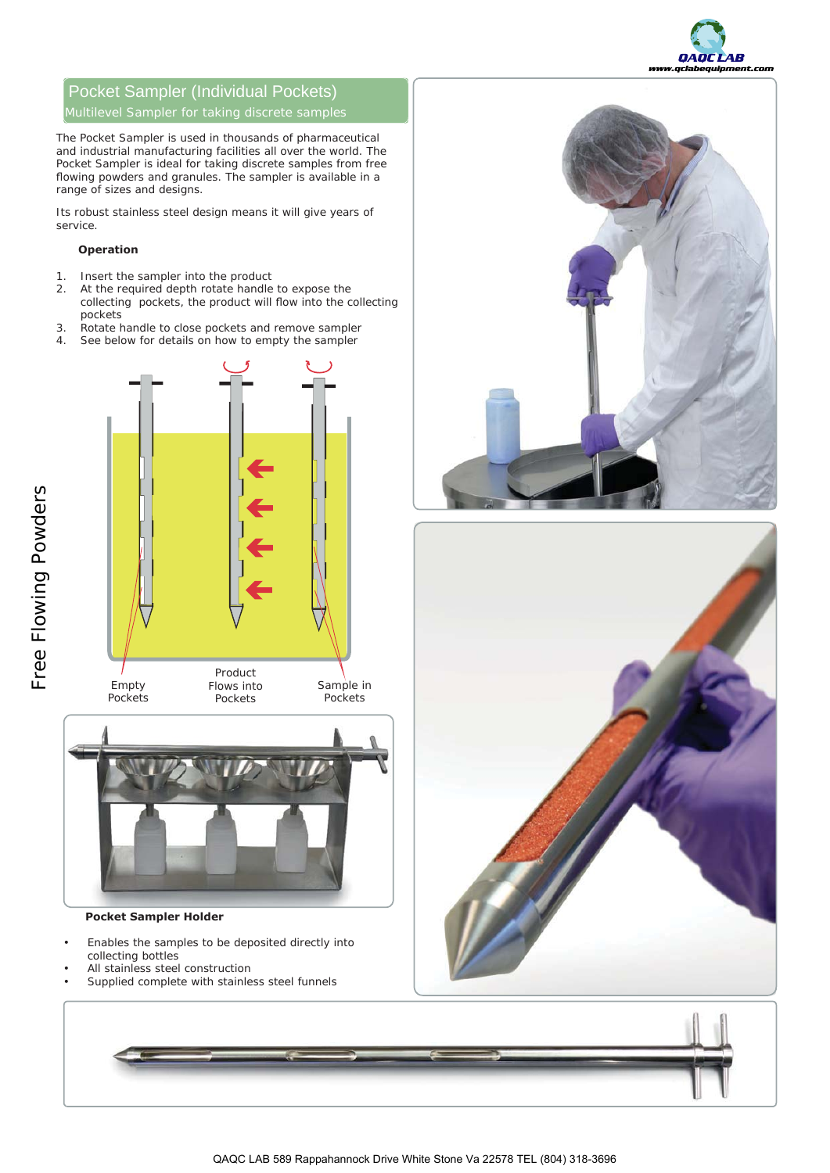

# Pocket Sampler (Individual Pockets)

The Pocket Sampler is used in thousands of pharmaceutical and industrial manufacturing facilities all over the world. The Pocket Sampler is ideal for taking discrete samples from free flowing powders and granules. The sampler is available in a range of sizes and designs.

Its robust stainless steel design means it will give years of service.

## **2Operation**

- 1. Insert the sampler into the product
- 2. At the required depth rotate handle to expose the collecting pockets, the product will flow into the collecting pockets
- 3. Rotate handle to close pockets and remove sampler
- 4. See below for details on how to empty the sampler







## **Pocket Sampler Holder**

- Enables the samples to be deposited directly into collecting bottles
- All stainless steel construction
- Supplied complete with stainless steel funnels